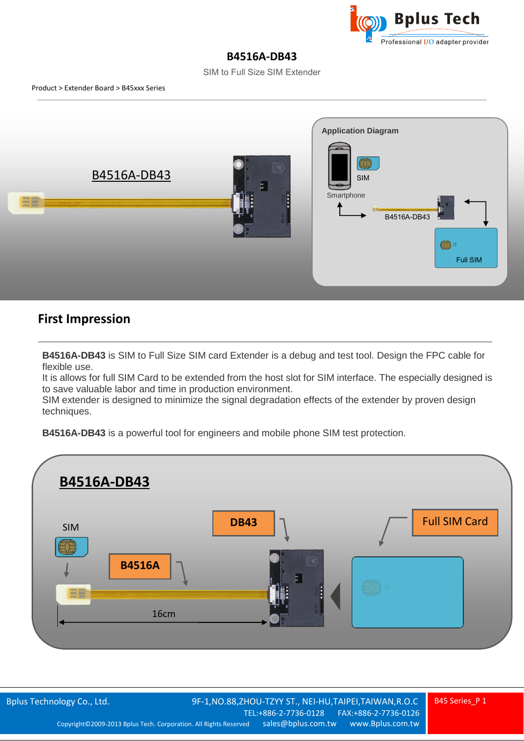

## **B4516A-DB43**

SIM to Full Size SIM Extender



## **First Impression**

**B4516A-DB43** is SIM to Full Size SIM card Extender is a debug and test tool. Design the FPC cable for flexible use.

It is allows for full SIM Card to be extended from the host slot for SIM interface. The especially designed is to save valuable labor and time in production environment.

SIM extender is designed to minimize the signal degradation effects of the extender by proven design techniques.

**B4516A-DB43** is a powerful tool for engineers and mobile phone SIM test protection.

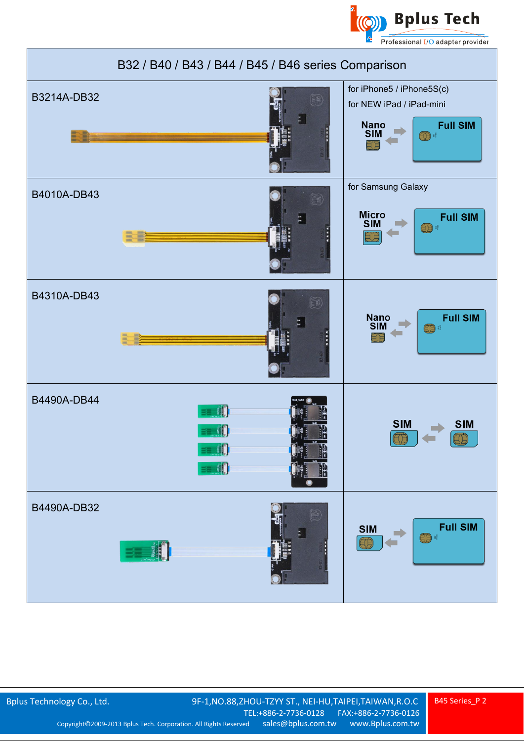